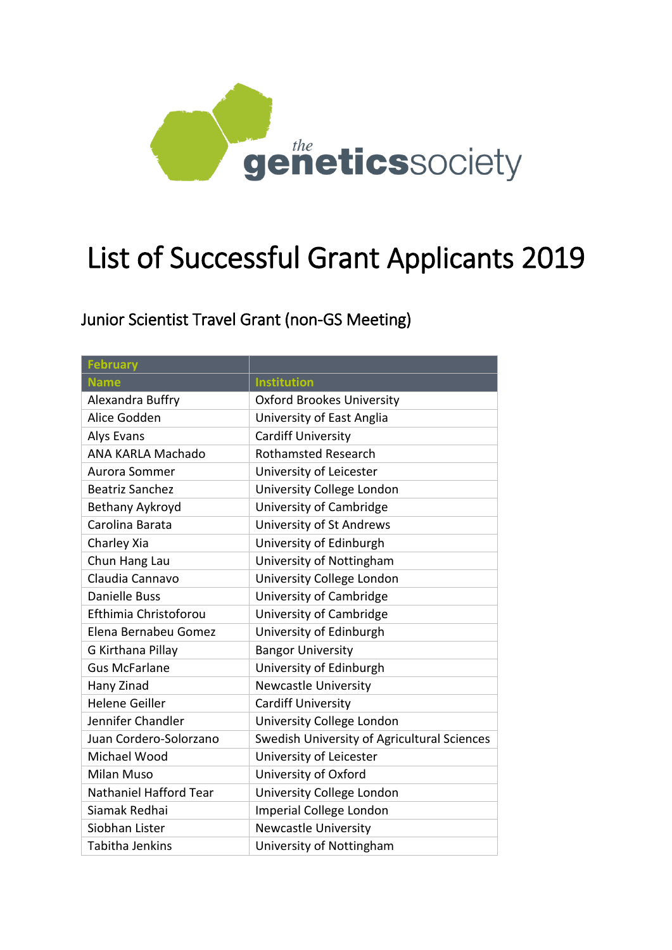

# List of Successful Grant Applicants 2019

| <b>February</b>          |                                             |
|--------------------------|---------------------------------------------|
| <b>Name</b>              | <b>Institution</b>                          |
| Alexandra Buffry         | <b>Oxford Brookes University</b>            |
| Alice Godden             | University of East Anglia                   |
| Alys Evans               | <b>Cardiff University</b>                   |
| <b>ANA KARLA Machado</b> | <b>Rothamsted Research</b>                  |
| Aurora Sommer            | University of Leicester                     |
| <b>Beatriz Sanchez</b>   | University College London                   |
| Bethany Aykroyd          | University of Cambridge                     |
| Carolina Barata          | University of St Andrews                    |
| Charley Xia              | University of Edinburgh                     |
| Chun Hang Lau            | University of Nottingham                    |
| Claudia Cannavo          | University College London                   |
| <b>Danielle Buss</b>     | University of Cambridge                     |
| Efthimia Christoforou    | University of Cambridge                     |
| Elena Bernabeu Gomez     | University of Edinburgh                     |
| G Kirthana Pillay        | <b>Bangor University</b>                    |
| <b>Gus McFarlane</b>     | University of Edinburgh                     |
| Hany Zinad               | <b>Newcastle University</b>                 |
| <b>Helene Geiller</b>    | <b>Cardiff University</b>                   |
| Jennifer Chandler        | University College London                   |
| Juan Cordero-Solorzano   | Swedish University of Agricultural Sciences |
| Michael Wood             | University of Leicester                     |
| Milan Muso               | University of Oxford                        |
| Nathaniel Hafford Tear   | University College London                   |
| Siamak Redhai            | Imperial College London                     |
| Siobhan Lister           | <b>Newcastle University</b>                 |
| Tabitha Jenkins          | University of Nottingham                    |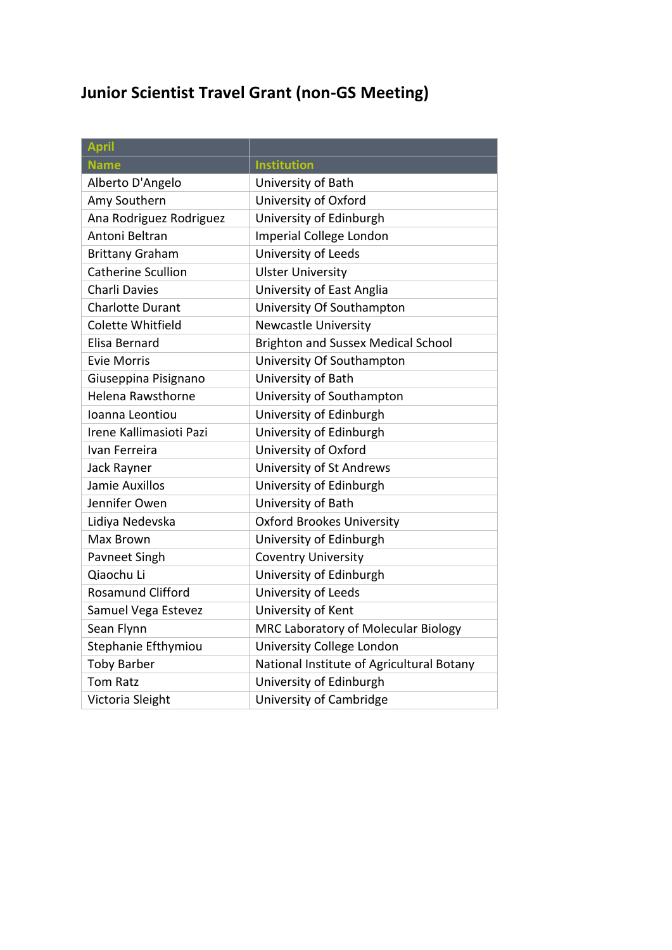| <b>April</b>              |                                           |
|---------------------------|-------------------------------------------|
| <b>Name</b>               | <b>Institution</b>                        |
| Alberto D'Angelo          | University of Bath                        |
| Amy Southern              | University of Oxford                      |
| Ana Rodriguez Rodriguez   | University of Edinburgh                   |
| Antoni Beltran            | Imperial College London                   |
| <b>Brittany Graham</b>    | University of Leeds                       |
| <b>Catherine Scullion</b> | <b>Ulster University</b>                  |
| Charli Davies             | University of East Anglia                 |
| <b>Charlotte Durant</b>   | University Of Southampton                 |
| Colette Whitfield         | <b>Newcastle University</b>               |
| Elisa Bernard             | <b>Brighton and Sussex Medical School</b> |
| <b>Evie Morris</b>        | University Of Southampton                 |
| Giuseppina Pisignano      | University of Bath                        |
| Helena Rawsthorne         | University of Southampton                 |
| Ioanna Leontiou           | University of Edinburgh                   |
| Irene Kallimasioti Pazi   | University of Edinburgh                   |
| Ivan Ferreira             | University of Oxford                      |
| Jack Rayner               | University of St Andrews                  |
| Jamie Auxillos            | University of Edinburgh                   |
| Jennifer Owen             | University of Bath                        |
| Lidiya Nedevska           | <b>Oxford Brookes University</b>          |
| Max Brown                 | University of Edinburgh                   |
| Pavneet Singh             | <b>Coventry University</b>                |
| Qiaochu Li                | University of Edinburgh                   |
| <b>Rosamund Clifford</b>  | University of Leeds                       |
| Samuel Vega Estevez       | University of Kent                        |
| Sean Flynn                | MRC Laboratory of Molecular Biology       |
| Stephanie Efthymiou       | University College London                 |
| <b>Toby Barber</b>        | National Institute of Agricultural Botany |
| <b>Tom Ratz</b>           | University of Edinburgh                   |
| Victoria Sleight          | University of Cambridge                   |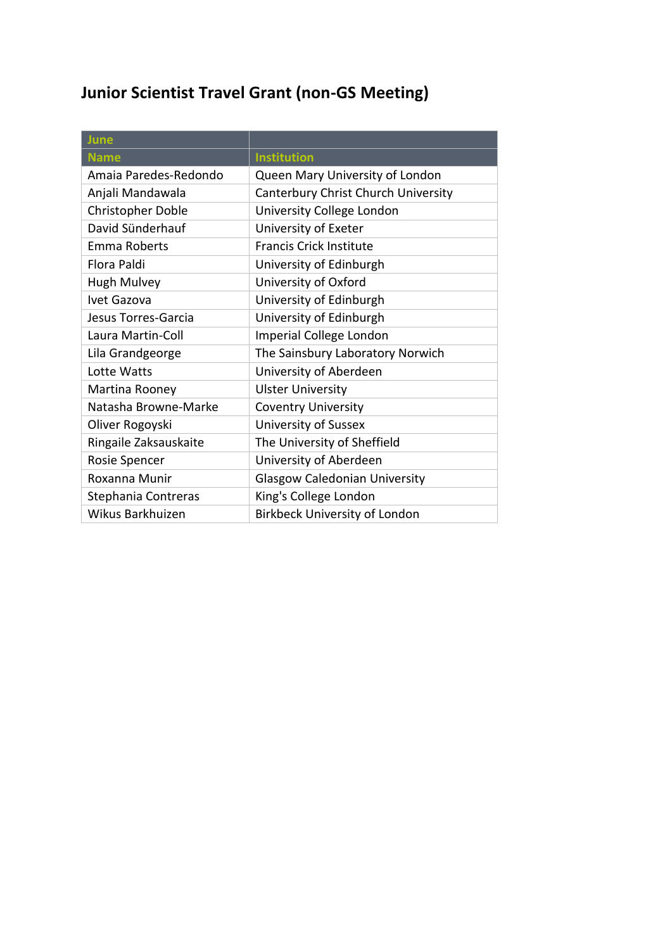| June                  |                                      |
|-----------------------|--------------------------------------|
| <b>Name</b>           | <b>Institution</b>                   |
| Amaia Paredes-Redondo | Queen Mary University of London      |
| Anjali Mandawala      | Canterbury Christ Church University  |
| Christopher Doble     | University College London            |
| David Sünderhauf      | University of Exeter                 |
| <b>Emma Roberts</b>   | <b>Francis Crick Institute</b>       |
| Flora Paldi           | University of Edinburgh              |
| <b>Hugh Mulvey</b>    | University of Oxford                 |
| Ivet Gazova           | University of Edinburgh              |
| Jesus Torres-Garcia   | University of Edinburgh              |
| Laura Martin-Coll     | Imperial College London              |
| Lila Grandgeorge      | The Sainsbury Laboratory Norwich     |
| Lotte Watts           | University of Aberdeen               |
| Martina Rooney        | <b>Ulster University</b>             |
| Natasha Browne-Marke  | <b>Coventry University</b>           |
| Oliver Rogoyski       | University of Sussex                 |
| Ringaile Zaksauskaite | The University of Sheffield          |
| Rosie Spencer         | University of Aberdeen               |
| Roxanna Munir         | <b>Glasgow Caledonian University</b> |
| Stephania Contreras   | King's College London                |
| Wikus Barkhuizen      | <b>Birkbeck University of London</b> |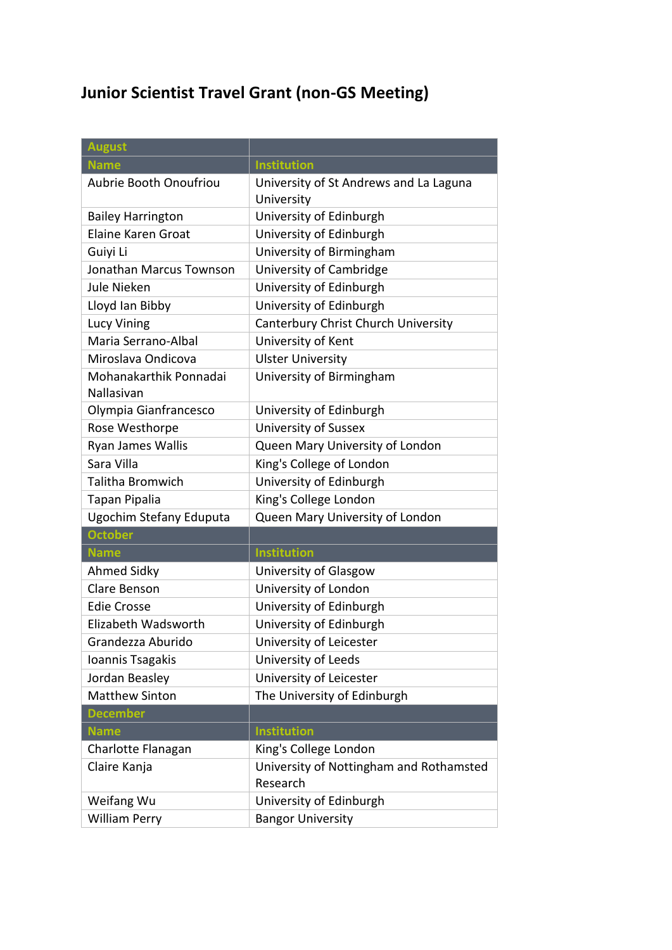| <b>August</b>                        |                                                      |  |
|--------------------------------------|------------------------------------------------------|--|
| <b>Name</b>                          | <b>Institution</b>                                   |  |
| Aubrie Booth Onoufriou               | University of St Andrews and La Laguna<br>University |  |
| <b>Bailey Harrington</b>             | University of Edinburgh                              |  |
| <b>Elaine Karen Groat</b>            | University of Edinburgh                              |  |
| Guiyi Li                             | University of Birmingham                             |  |
| Jonathan Marcus Townson              | University of Cambridge                              |  |
| Jule Nieken                          | University of Edinburgh                              |  |
| Lloyd Ian Bibby                      | University of Edinburgh                              |  |
| <b>Lucy Vining</b>                   | Canterbury Christ Church University                  |  |
| Maria Serrano-Albal                  | University of Kent                                   |  |
| Miroslava Ondicova                   | <b>Ulster University</b>                             |  |
| Mohanakarthik Ponnadai<br>Nallasivan | University of Birmingham                             |  |
| Olympia Gianfrancesco                | University of Edinburgh                              |  |
| Rose Westhorpe                       | University of Sussex                                 |  |
| Ryan James Wallis                    | Queen Mary University of London                      |  |
| Sara Villa                           | King's College of London                             |  |
| Talitha Bromwich                     | University of Edinburgh                              |  |
| Tapan Pipalia                        | King's College London                                |  |
| Ugochim Stefany Eduputa              | Queen Mary University of London                      |  |
| <b>October</b>                       |                                                      |  |
| <b>Name</b>                          | <b>Institution</b>                                   |  |
| <b>Ahmed Sidky</b>                   | University of Glasgow                                |  |
| Clare Benson                         | University of London                                 |  |
| <b>Edie Crosse</b>                   | University of Edinburgh                              |  |
| Elizabeth Wadsworth                  | University of Edinburgh                              |  |
| Grandezza Aburido                    | University of Leicester                              |  |
| Ioannis Tsagakis                     | University of Leeds                                  |  |
| Jordan Beasley                       | University of Leicester                              |  |
| <b>Matthew Sinton</b>                | The University of Edinburgh                          |  |
| <b>December</b>                      |                                                      |  |
| <b>Name</b>                          | <b>Institution</b>                                   |  |
| Charlotte Flanagan                   | King's College London                                |  |
| Claire Kanja                         | University of Nottingham and Rothamsted<br>Research  |  |
| Weifang Wu                           | University of Edinburgh                              |  |
| <b>William Perry</b>                 | <b>Bangor University</b>                             |  |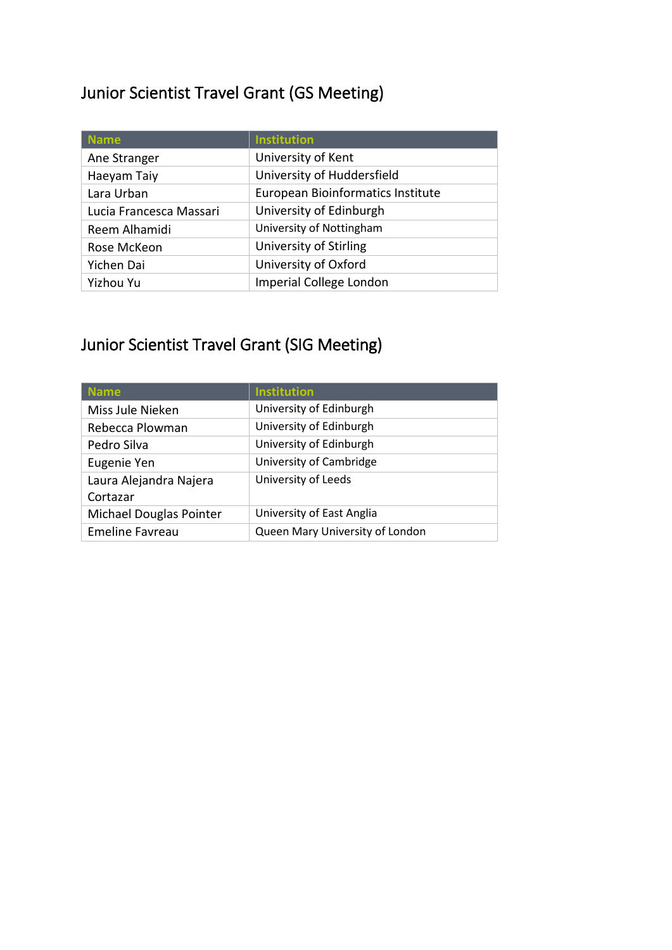#### Junior Scientist Travel Grant (GS Meeting)

| <b>Name</b>             | <b>Institution</b>                |
|-------------------------|-----------------------------------|
| Ane Stranger            | University of Kent                |
| Haeyam Taiy             | University of Huddersfield        |
| Lara Urban              | European Bioinformatics Institute |
| Lucia Francesca Massari | University of Edinburgh           |
| Reem Alhamidi           | University of Nottingham          |
| Rose McKeon             | University of Stirling            |
| Yichen Dai              | University of Oxford              |
| Yizhou Yu               | Imperial College London           |

| <b>Name</b>             | <b>Institution</b>              |
|-------------------------|---------------------------------|
| Miss Jule Nieken        | University of Edinburgh         |
| Rebecca Plowman         | University of Edinburgh         |
| Pedro Silva             | University of Edinburgh         |
| Eugenie Yen             | University of Cambridge         |
| Laura Alejandra Najera  | University of Leeds             |
| Cortazar                |                                 |
| Michael Douglas Pointer | University of East Anglia       |
| <b>Emeline Favreau</b>  | Queen Mary University of London |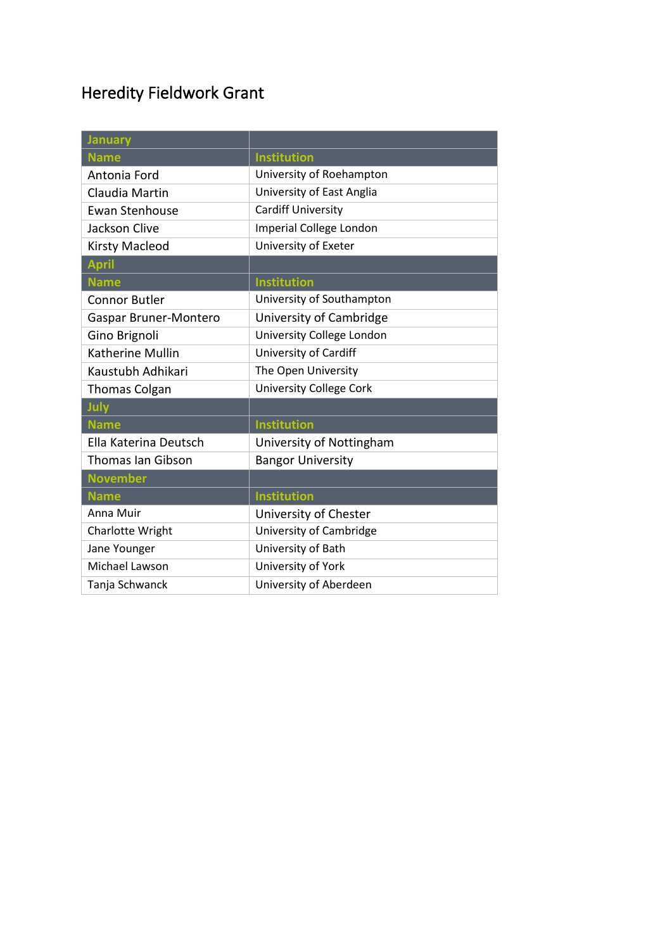### Heredity Fieldwork Grant

| <b>January</b>           |                                |
|--------------------------|--------------------------------|
| <b>Name</b>              | <b>Institution</b>             |
| Antonia Ford             | University of Roehampton       |
| Claudia Martin           | University of East Anglia      |
| <b>Ewan Stenhouse</b>    | <b>Cardiff University</b>      |
| Jackson Clive            | <b>Imperial College London</b> |
| <b>Kirsty Macleod</b>    | University of Exeter           |
| <b>April</b>             |                                |
| <b>Name</b>              | <b>Institution</b>             |
| <b>Connor Butler</b>     | University of Southampton      |
| Gaspar Bruner-Montero    | University of Cambridge        |
| Gino Brignoli            | University College London      |
| Katherine Mullin         | University of Cardiff          |
| Kaustubh Adhikari        | The Open University            |
| <b>Thomas Colgan</b>     | <b>University College Cork</b> |
| July                     |                                |
| <b>Name</b>              | <b>Institution</b>             |
| Ella Katerina Deutsch    | University of Nottingham       |
| <b>Thomas Ian Gibson</b> | <b>Bangor University</b>       |
| <b>November</b>          |                                |
| <b>Name</b>              | <b>Institution</b>             |
| Anna Muir                | University of Chester          |
| Charlotte Wright         | University of Cambridge        |
| Jane Younger             | University of Bath             |
| Michael Lawson           | University of York             |
| Tanja Schwanck           | University of Aberdeen         |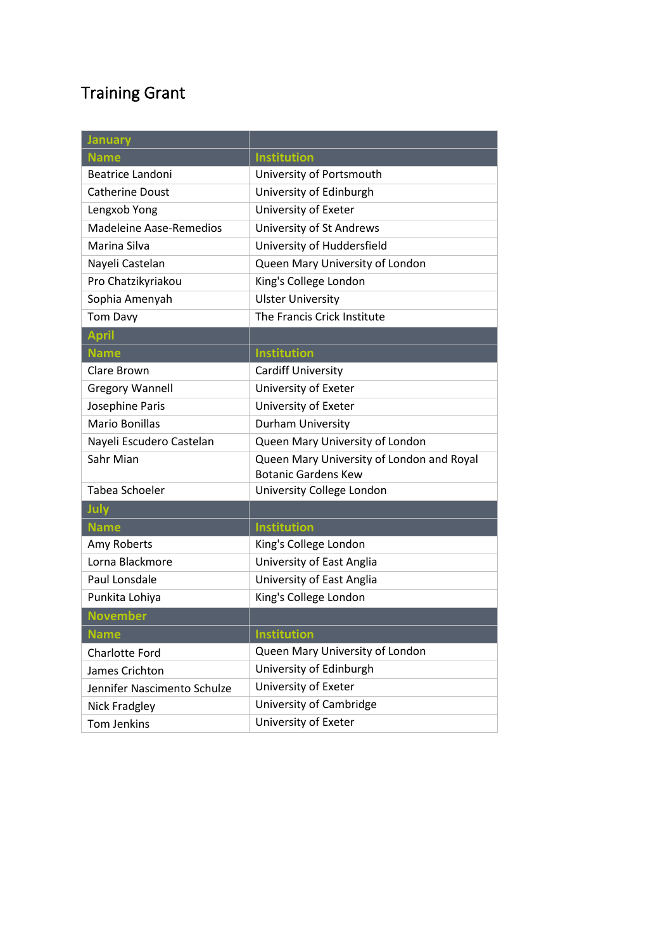### Training Grant

| <b>January</b>                 |                                                                         |
|--------------------------------|-------------------------------------------------------------------------|
| <b>Name</b>                    | <b>Institution</b>                                                      |
| <b>Beatrice Landoni</b>        | University of Portsmouth                                                |
| <b>Catherine Doust</b>         | University of Edinburgh                                                 |
| Lengxob Yong                   | University of Exeter                                                    |
| <b>Madeleine Aase-Remedios</b> | University of St Andrews                                                |
| Marina Silva                   | University of Huddersfield                                              |
| Nayeli Castelan                | Queen Mary University of London                                         |
| Pro Chatzikyriakou             | King's College London                                                   |
| Sophia Amenyah                 | <b>Ulster University</b>                                                |
| <b>Tom Davy</b>                | The Francis Crick Institute                                             |
| <b>April</b>                   |                                                                         |
| <b>Name</b>                    | <b>Institution</b>                                                      |
| Clare Brown                    | Cardiff University                                                      |
| <b>Gregory Wannell</b>         | University of Exeter                                                    |
| Josephine Paris                | University of Exeter                                                    |
| <b>Mario Bonillas</b>          | Durham University                                                       |
| Nayeli Escudero Castelan       | Queen Mary University of London                                         |
| Sahr Mian                      | Queen Mary University of London and Royal<br><b>Botanic Gardens Kew</b> |
| Tabea Schoeler                 | University College London                                               |
| July                           |                                                                         |
| <b>Name</b>                    | <b>Institution</b>                                                      |
| Amy Roberts                    | King's College London                                                   |
| Lorna Blackmore                | University of East Anglia                                               |
| Paul Lonsdale                  | University of East Anglia                                               |
| Punkita Lohiya                 | King's College London                                                   |
| <b>November</b>                |                                                                         |
| <b>Name</b>                    | Institution                                                             |
| Charlotte Ford                 | Queen Mary University of London                                         |
| James Crichton                 | University of Edinburgh                                                 |
| Jennifer Nascimento Schulze    | University of Exeter                                                    |
| Nick Fradgley                  | University of Cambridge                                                 |
| Tom Jenkins                    | University of Exeter                                                    |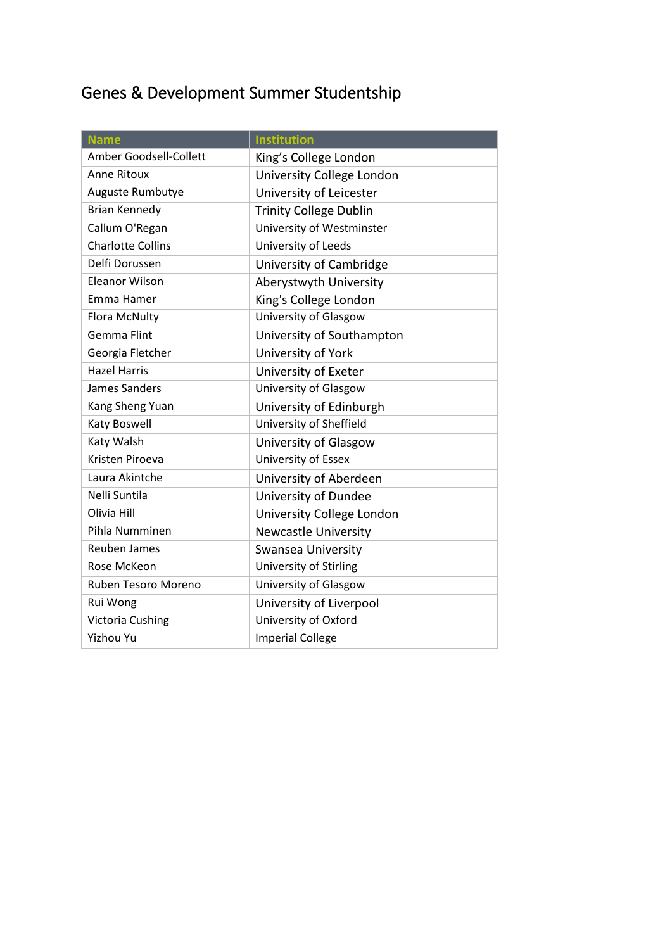# Genes & Development Summer Studentship

| <b>Name</b>              | <b>Institution</b>            |
|--------------------------|-------------------------------|
| Amber Goodsell-Collett   | King's College London         |
| <b>Anne Ritoux</b>       | University College London     |
| Auguste Rumbutye         | University of Leicester       |
| <b>Brian Kennedy</b>     | <b>Trinity College Dublin</b> |
| Callum O'Regan           | University of Westminster     |
| <b>Charlotte Collins</b> | University of Leeds           |
| Delfi Dorussen           | University of Cambridge       |
| <b>Eleanor Wilson</b>    | Aberystwyth University        |
| Emma Hamer               | King's College London         |
| Flora McNulty            | University of Glasgow         |
| <b>Gemma Flint</b>       | University of Southampton     |
| Georgia Fletcher         | University of York            |
| <b>Hazel Harris</b>      | University of Exeter          |
| James Sanders            | University of Glasgow         |
| Kang Sheng Yuan          | University of Edinburgh       |
| Katy Boswell             | University of Sheffield       |
| Katy Walsh               | University of Glasgow         |
| Kristen Piroeva          | University of Essex           |
| Laura Akintche           | University of Aberdeen        |
| Nelli Suntila            | University of Dundee          |
| Olivia Hill              | University College London     |
| Pihla Numminen           | <b>Newcastle University</b>   |
| <b>Reuben James</b>      | Swansea University            |
| Rose McKeon              | University of Stirling        |
| Ruben Tesoro Moreno      | University of Glasgow         |
| Rui Wong                 | University of Liverpool       |
| <b>Victoria Cushing</b>  | University of Oxford          |
| <b>Yizhou Yu</b>         | <b>Imperial College</b>       |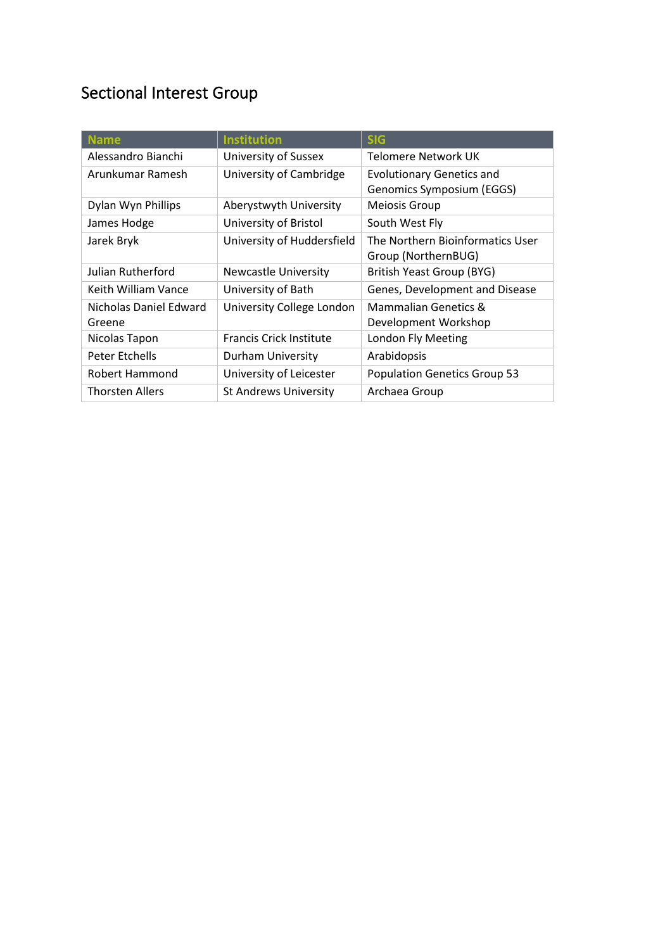#### Sectional Interest Group

| <b>Name</b>                      | <b>Institution</b>             | <b>SIG</b>                                                    |
|----------------------------------|--------------------------------|---------------------------------------------------------------|
| Alessandro Bianchi               | University of Sussex           | Telomere Network UK                                           |
| Arunkumar Ramesh                 | University of Cambridge        | <b>Evolutionary Genetics and</b><br>Genomics Symposium (EGGS) |
| Dylan Wyn Phillips               | Aberystwyth University         | Meiosis Group                                                 |
| James Hodge                      | University of Bristol          | South West Fly                                                |
| Jarek Bryk                       | University of Huddersfield     | The Northern Bioinformatics User<br>Group (NorthernBUG)       |
| Julian Rutherford                | <b>Newcastle University</b>    | British Yeast Group (BYG)                                     |
| Keith William Vance              | University of Bath             | Genes, Development and Disease                                |
| Nicholas Daniel Edward<br>Greene | University College London      | <b>Mammalian Genetics &amp;</b><br>Development Workshop       |
| Nicolas Tapon                    | <b>Francis Crick Institute</b> | London Fly Meeting                                            |
| Peter Etchells                   | Durham University              | Arabidopsis                                                   |
| Robert Hammond                   | University of Leicester        | <b>Population Genetics Group 53</b>                           |
| <b>Thorsten Allers</b>           | <b>St Andrews University</b>   | Archaea Group                                                 |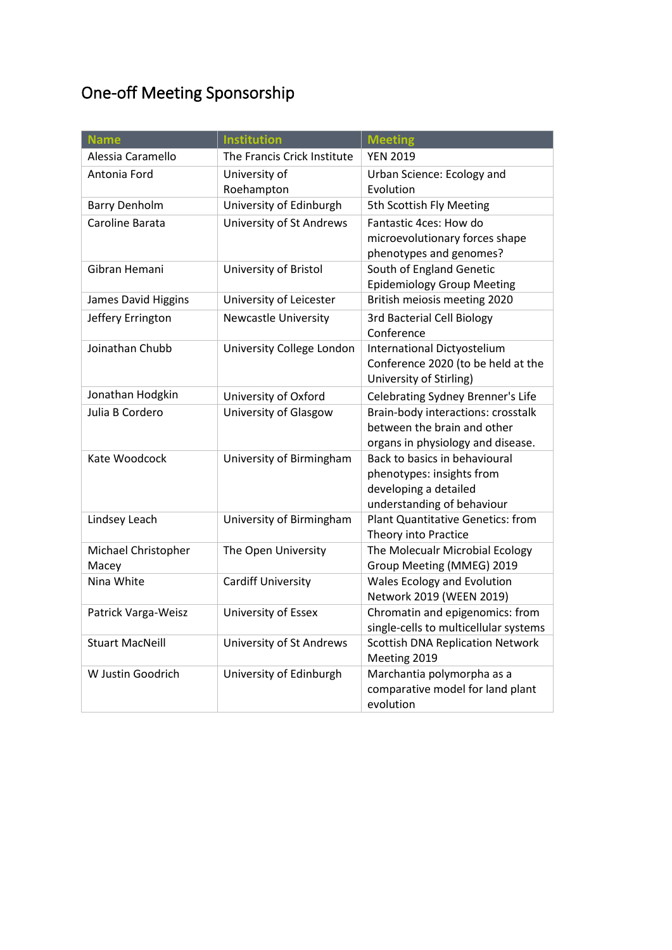# One-off Meeting Sponsorship

| <b>Name</b>                  | <b>Institution</b>          | <b>Meeting</b>                                                                                                    |
|------------------------------|-----------------------------|-------------------------------------------------------------------------------------------------------------------|
| Alessia Caramello            | The Francis Crick Institute | <b>YEN 2019</b>                                                                                                   |
| Antonia Ford                 | University of               | Urban Science: Ecology and                                                                                        |
|                              | Roehampton                  | Evolution                                                                                                         |
| <b>Barry Denholm</b>         | University of Edinburgh     | 5th Scottish Fly Meeting                                                                                          |
| Caroline Barata              | University of St Andrews    | Fantastic 4ces: How do<br>microevolutionary forces shape<br>phenotypes and genomes?                               |
| Gibran Hemani                | University of Bristol       | South of England Genetic<br><b>Epidemiology Group Meeting</b>                                                     |
| James David Higgins          | University of Leicester     | British meiosis meeting 2020                                                                                      |
| Jeffery Errington            | <b>Newcastle University</b> | <b>3rd Bacterial Cell Biology</b><br>Conference                                                                   |
| Joinathan Chubb              | University College London   | <b>International Dictyostelium</b><br>Conference 2020 (to be held at the<br>University of Stirling)               |
| Jonathan Hodgkin             | University of Oxford        | Celebrating Sydney Brenner's Life                                                                                 |
| Julia B Cordero              | University of Glasgow       | Brain-body interactions: crosstalk<br>between the brain and other<br>organs in physiology and disease.            |
| Kate Woodcock                | University of Birmingham    | Back to basics in behavioural<br>phenotypes: insights from<br>developing a detailed<br>understanding of behaviour |
| Lindsey Leach                | University of Birmingham    | <b>Plant Quantitative Genetics: from</b><br>Theory into Practice                                                  |
| Michael Christopher<br>Macey | The Open University         | The Molecualr Microbial Ecology<br>Group Meeting (MMEG) 2019                                                      |
| Nina White                   | <b>Cardiff University</b>   | Wales Ecology and Evolution<br>Network 2019 (WEEN 2019)                                                           |
| Patrick Varga-Weisz          | University of Essex         | Chromatin and epigenomics: from<br>single-cells to multicellular systems                                          |
| <b>Stuart MacNeill</b>       | University of St Andrews    | <b>Scottish DNA Replication Network</b><br>Meeting 2019                                                           |
| W Justin Goodrich            | University of Edinburgh     | Marchantia polymorpha as a<br>comparative model for land plant<br>evolution                                       |